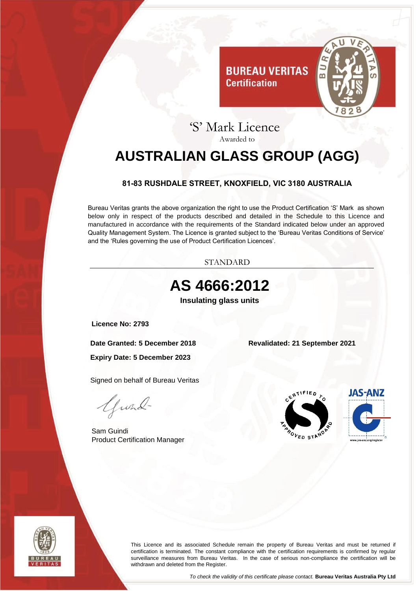

### 'S' Mark Licence Awarded to

**Certification** 

# <span id="page-0-0"></span>**AUSTRALIAN GLASS GROUP (AGG)**

### **81-83 RUSHDALE STREET, KNOXFIELD, VIC 3180 AUSTRALIA**

<span id="page-0-1"></span>Bureau Veritas grants the above organization the right to use the Product Certification 'S' Mark as shown below only in respect of the products described and detailed in the Schedule to this Licence and manufactured in accordance with the requirements of the Standard indicated below under an approved Quality Management System. The Licence is granted subject to the 'Bureau Veritas Conditions of Service' and the 'Rules governing the use of Product Certification Licences'.



<span id="page-0-3"></span><span id="page-0-2"></span>



This Licence and its associated Schedule remain the property of Bureau Veritas and must be returned if certification is terminated. The constant compliance with the certification requirements is confirmed by regular surveillance measures from Bureau Veritas. In the case of serious non-compliance the certification will be withdrawn and deleted from the Register.

*To check the validity of this certificate please contact.* **Bureau Veritas Australia Pty Ltd**

Issuing office: Bureau Veritas Pty Ltd, 3/435 Williamstown Road, Port Melbourne, Victoria, 3207